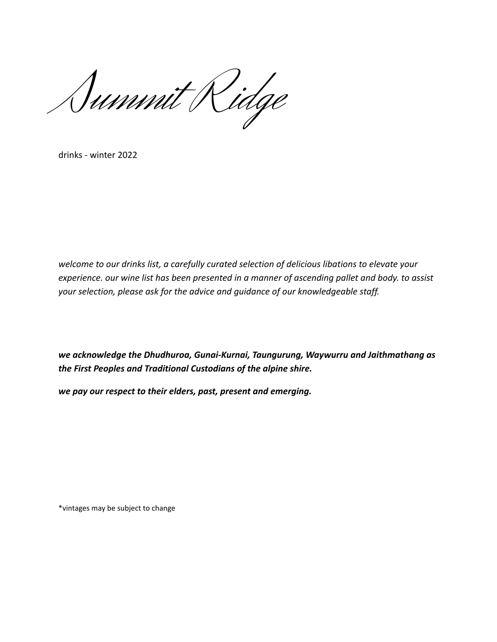Summit Ridge

drinks - winter 2022

*welcome to our drinks list, a carefully curated selection of delicious libations to elevate your experience. our wine list has been presented in a manner of ascending pallet and body. to assist your selection, please ask for the advice and guidance of our knowledgeable staff.*

*we acknowledge the Dhudhuroa, Gunai-Kurnai, Taungurung, Waywurru and Jaithmathang as the First Peoples and Traditional Custodians of the alpine shire.*

*we pay our respect to their elders, past, present and emerging.*

\*vintages may be subject to change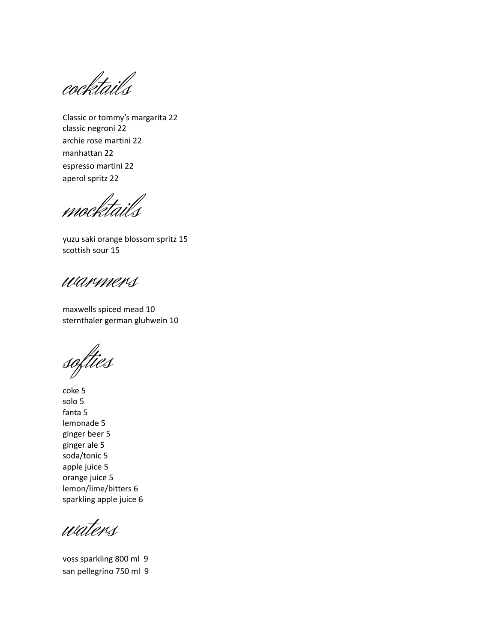cocktails

Classic or tommy's margarita 22 classic negroni 22 archie rose martini 22 manhattan 22 espresso martini 22 aperol spritz 22

mocktails

yuzu saki orange blossom spritz 15 scottish sour 15

warmers

maxwells spiced mead 10 sternthaler german gluhwein 10

softies

coke 5 solo 5 fanta 5 lemonade 5 ginger beer 5 ginger ale 5 soda/tonic 5 apple juice 5 orange juice 5 lemon/lime/bitters 6 sparkling apple juice 6

waters

voss sparkling 800 ml 9 san pellegrino 750 ml 9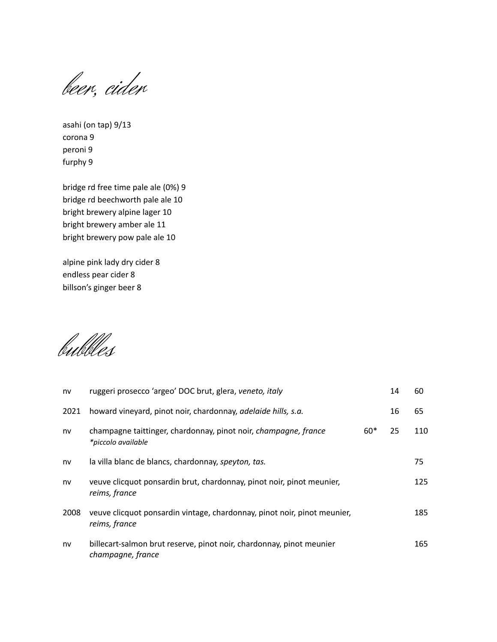beer, cider

asahi (on tap) 9/13 corona 9 peroni 9 furphy 9

bridge rd free time pale ale (0%) 9 bridge rd beechworth pale ale 10 bright brewery alpine lager 10 bright brewery amber ale 11 bright brewery pow pale ale 10

alpine pink lady dry cider 8 endless pear cider 8 billson's ginger beer 8

bubbles

| nv   | ruggeri prosecco 'argeo' DOC brut, glera, veneto, italy                                   |       | 14 | 60  |
|------|-------------------------------------------------------------------------------------------|-------|----|-----|
| 2021 | howard vineyard, pinot noir, chardonnay, adelaide hills, s.a.                             |       | 16 | 65  |
| nv   | champagne taittinger, chardonnay, pinot noir, champagne, france<br>*piccolo available     | $60*$ | 25 | 110 |
| nv   | la villa blanc de blancs, chardonnay, speyton, tas.                                       |       |    | 75  |
| nv   | veuve clicquot ponsardin brut, chardonnay, pinot noir, pinot meunier,<br>reims, france    |       |    | 125 |
| 2008 | veuve clicquot ponsardin vintage, chardonnay, pinot noir, pinot meunier,<br>reims, france |       |    | 185 |
| nv   | billecart-salmon brut reserve, pinot noir, chardonnay, pinot meunier<br>champagne, france |       |    | 165 |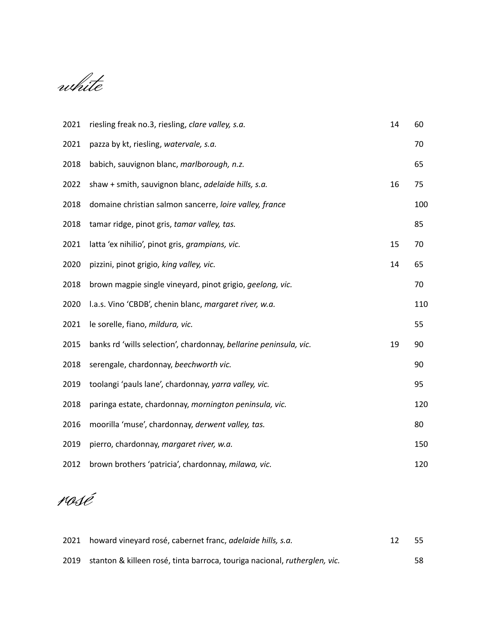white

| 2021 | riesling freak no.3, riesling, clare valley, s.a.                 | 14 | 60  |
|------|-------------------------------------------------------------------|----|-----|
| 2021 | pazza by kt, riesling, watervale, s.a.                            |    | 70  |
| 2018 | babich, sauvignon blanc, marlborough, n.z.                        |    | 65  |
| 2022 | shaw + smith, sauvignon blanc, adelaide hills, s.a.               | 16 | 75  |
| 2018 | domaine christian salmon sancerre, loire valley, france           |    | 100 |
| 2018 | tamar ridge, pinot gris, tamar valley, tas.                       |    | 85  |
| 2021 | latta 'ex nihilio', pinot gris, grampians, vic.                   | 15 | 70  |
| 2020 | pizzini, pinot grigio, king valley, vic.                          | 14 | 65  |
| 2018 | brown magpie single vineyard, pinot grigio, geelong, vic.         |    | 70  |
| 2020 | I.a.s. Vino 'CBDB', chenin blanc, margaret river, w.a.            |    | 110 |
| 2021 | le sorelle, fiano, mildura, vic.                                  |    | 55  |
| 2015 | banks rd 'wills selection', chardonnay, bellarine peninsula, vic. | 19 | 90  |
| 2018 | serengale, chardonnay, beechworth vic.                            |    | 90  |
| 2019 | toolangi 'pauls lane', chardonnay, yarra valley, vic.             |    | 95  |
| 2018 | paringa estate, chardonnay, mornington peninsula, vic.            |    | 120 |
| 2016 | moorilla 'muse', chardonnay, derwent valley, tas.                 |    | 80  |
| 2019 | pierro, chardonnay, margaret river, w.a.                          |    | 150 |
| 2012 | brown brothers 'patricia', chardonnay, milawa, vic.               |    | 120 |
|      |                                                                   |    |     |

rosé

| 2021 howard vineyard rosé, cabernet franc, <i>adelaide hills</i> , <i>s.a.</i>        | -55 |
|---------------------------------------------------------------------------------------|-----|
| 2019 stanton & killeen rosé, tinta barroca, touriga nacional, <i>rutherglen, vic.</i> | 58  |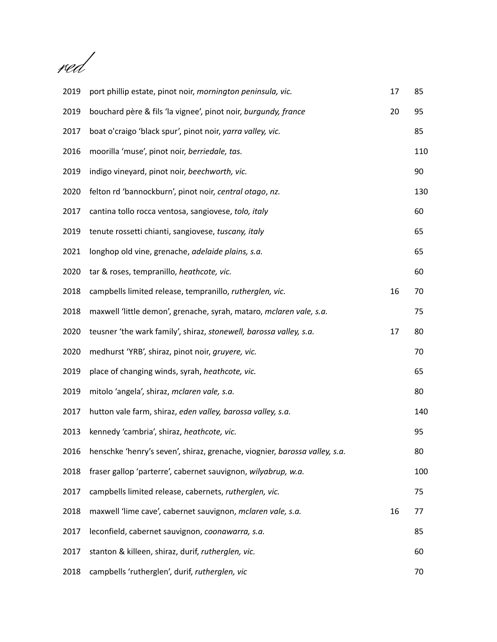red

| 2019 | port phillip estate, pinot noir, mornington peninsula, vic.                | 17 | 85  |
|------|----------------------------------------------------------------------------|----|-----|
| 2019 | bouchard père & fils 'la vignee', pinot noir, burgundy, france             | 20 | 95  |
| 2017 | boat o'craigo 'black spur', pinot noir, yarra valley, vic.                 |    | 85  |
| 2016 | moorilla 'muse', pinot noir, berriedale, tas.                              |    | 110 |
| 2019 | indigo vineyard, pinot noir, beechworth, vic.                              |    | 90  |
| 2020 | felton rd 'bannockburn', pinot noir, central otago, nz.                    |    | 130 |
| 2017 | cantina tollo rocca ventosa, sangiovese, tolo, italy                       |    | 60  |
| 2019 | tenute rossetti chianti, sangiovese, tuscany, italy                        |    | 65  |
| 2021 | longhop old vine, grenache, adelaide plains, s.a.                          |    | 65  |
| 2020 | tar & roses, tempranillo, heathcote, vic.                                  |    | 60  |
| 2018 | campbells limited release, tempranillo, rutherglen, vic.                   | 16 | 70  |
| 2018 | maxwell 'little demon', grenache, syrah, mataro, mclaren vale, s.a.        |    | 75  |
| 2020 | teusner 'the wark family', shiraz, stonewell, barossa valley, s.a.         | 17 | 80  |
| 2020 | medhurst 'YRB', shiraz, pinot noir, gruyere, vic.                          |    | 70  |
| 2019 | place of changing winds, syrah, heathcote, vic.                            |    | 65  |
| 2019 | mitolo 'angela', shiraz, mclaren vale, s.a.                                |    | 80  |
| 2017 | hutton vale farm, shiraz, eden valley, barossa valley, s.a.                |    | 140 |
| 2013 | kennedy 'cambria', shiraz, heathcote, vic.                                 |    | 95  |
| 2016 | henschke 'henry's seven', shiraz, grenache, viognier, barossa valley, s.a. |    | 80  |
| 2018 | fraser gallop 'parterre', cabernet sauvignon, wilyabrup, w.a.              |    | 100 |
| 2017 | campbells limited release, cabernets, rutherglen, vic.                     |    | 75  |
| 2018 | maxwell 'lime cave', cabernet sauvignon, mclaren vale, s.a.                | 16 | 77  |
| 2017 | leconfield, cabernet sauvignon, coonawarra, s.a.                           |    | 85  |
| 2017 | stanton & killeen, shiraz, durif, rutherglen, vic.                         |    | 60  |
| 2018 | campbells 'rutherglen', durif, rutherglen, vic                             |    | 70  |